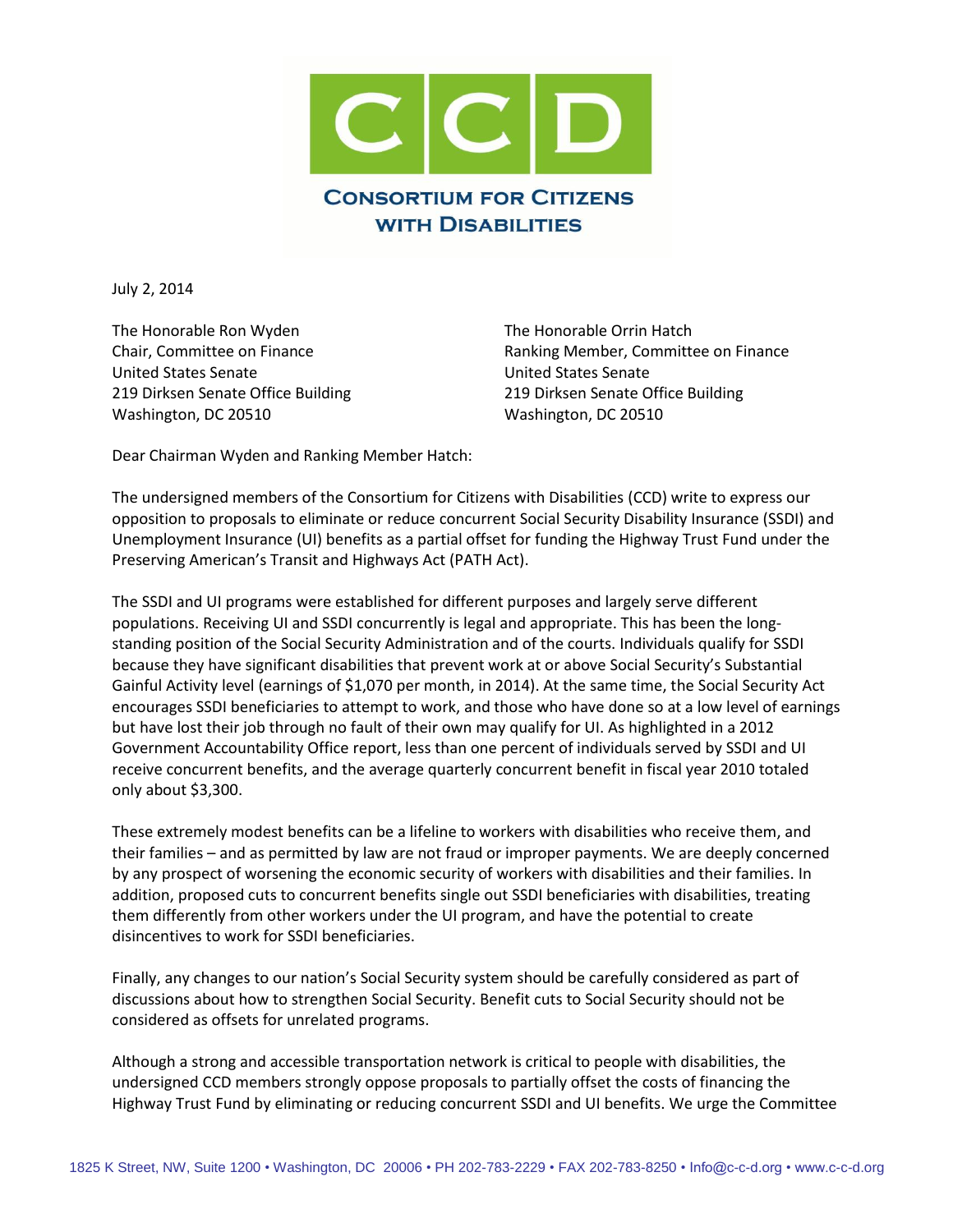

July 2, 2014

The Honorable Ron Wyden The Honorable Orrin Hatch United States Senate United States Senate 219 Dirksen Senate Office Building 219 Dirksen Senate Office Building Washington, DC 20510 Washington, DC 20510

Chair, Committee on Finance Ranking Member, Committee on Finance

Dear Chairman Wyden and Ranking Member Hatch:

The undersigned members of the Consortium for Citizens with Disabilities (CCD) write to express our opposition to proposals to eliminate or reduce concurrent Social Security Disability Insurance (SSDI) and Unemployment Insurance (UI) benefits as a partial offset for funding the Highway Trust Fund under the Preserving American's Transit and Highways Act (PATH Act).

The SSDI and UI programs were established for different purposes and largely serve different populations. Receiving UI and SSDI concurrently is legal and appropriate. This has been the longstanding position of the Social Security Administration and of the courts. Individuals qualify for SSDI because they have significant disabilities that prevent work at or above Social Security's Substantial Gainful Activity level (earnings of \$1,070 per month, in 2014). At the same time, the Social Security Act encourages SSDI beneficiaries to attempt to work, and those who have done so at a low level of earnings but have lost their job through no fault of their own may qualify for UI. As highlighted in a 2012 Government Accountability Office report, less than one percent of individuals served by SSDI and UI receive concurrent benefits, and the average quarterly concurrent benefit in fiscal year 2010 totaled only about \$3,300.

These extremely modest benefits can be a lifeline to workers with disabilities who receive them, and their families – and as permitted by law are not fraud or improper payments. We are deeply concerned by any prospect of worsening the economic security of workers with disabilities and their families. In addition, proposed cuts to concurrent benefits single out SSDI beneficiaries with disabilities, treating them differently from other workers under the UI program, and have the potential to create disincentives to work for SSDI beneficiaries.

Finally, any changes to our nation's Social Security system should be carefully considered as part of discussions about how to strengthen Social Security. Benefit cuts to Social Security should not be considered as offsets for unrelated programs.

Although a strong and accessible transportation network is critical to people with disabilities, the undersigned CCD members strongly oppose proposals to partially offset the costs of financing the Highway Trust Fund by eliminating or reducing concurrent SSDI and UI benefits. We urge the Committee